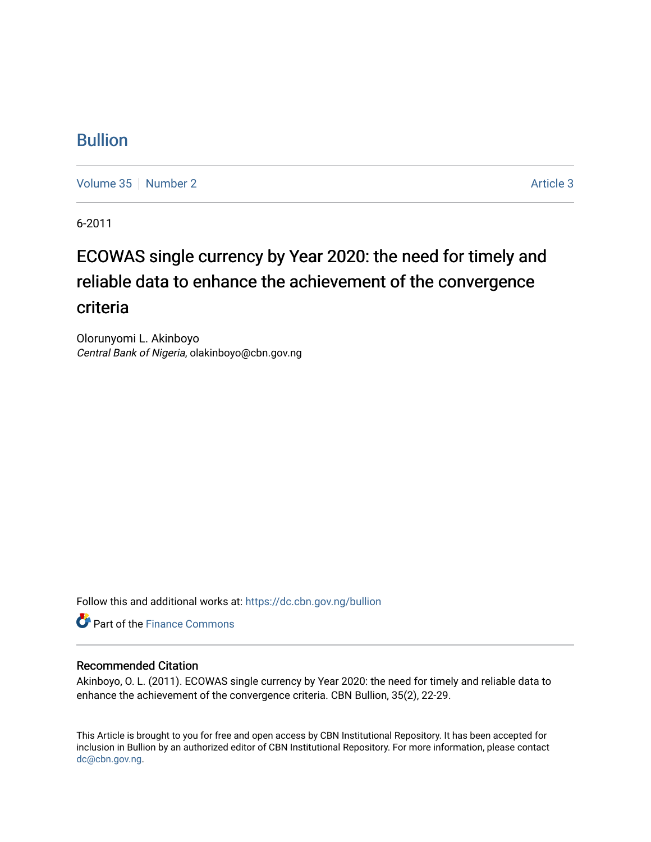### [Bullion](https://dc.cbn.gov.ng/bullion)

[Volume 35](https://dc.cbn.gov.ng/bullion/vol35) [Number 2](https://dc.cbn.gov.ng/bullion/vol35/iss2) Article 3

6-2011

# ECOWAS single currency by Year 2020: the need for timely and reliable data to enhance the achievement of the convergence criteria

Olorunyomi L. Akinboyo Central Bank of Nigeria, olakinboyo@cbn.gov.ng

Follow this and additional works at: [https://dc.cbn.gov.ng/bullion](https://dc.cbn.gov.ng/bullion?utm_source=dc.cbn.gov.ng%2Fbullion%2Fvol35%2Fiss2%2F3&utm_medium=PDF&utm_campaign=PDFCoverPages) 

**C** Part of the Finance Commons

#### Recommended Citation

Akinboyo, O. L. (2011). ECOWAS single currency by Year 2020: the need for timely and reliable data to enhance the achievement of the convergence criteria. CBN Bullion, 35(2), 22-29.

This Article is brought to you for free and open access by CBN Institutional Repository. It has been accepted for inclusion in Bullion by an authorized editor of CBN Institutional Repository. For more information, please contact [dc@cbn.gov.ng](mailto:dc@cbn.gov.ng).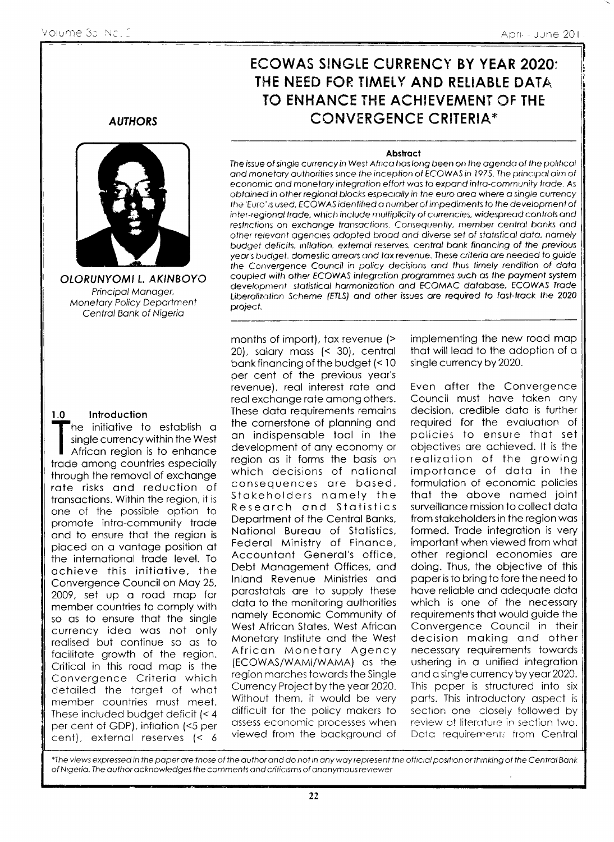## ECOWAS SINGLE CURRENCY BY YEAR 2020: THE NEED FOR TIMELY AND RELIABLE DATA. TO ENHANCE THE ACHIEVEMENT OF THE **CONVERGENCE CRITERIA\***

#### **Abstract**

The issue of single currency in West Africa has long been on the agenda of the political and monetary authorities since the inception of ECOWAS in 1975. The principal aim of economic and monetary integration effort was to expand intra-community trade. As obtained in other regional blocks especially in the euro area where a single currency the 'Euro' is used, ECOWAS identified a number of impediments to the development of inter-regional trade, which include multiplicity of currencies, widespread controls and restrictions on exchange transactions. Consequently, member central banks and other relevant agencies adopted broad and diverse set of statistical data, namely budget deficits, inflation, external reserves, central bank financing of the previous year's budget. domestic arrears and tax revenue. These criteria are needed to guide the Convergence Council in policy decisions and thus timely rendition of data coupled with other ECOWAS integration programmes such as the payment system development statistical harmonization and ECOMAC database, ECOWAS Trade Liberalization Scheme (ETLS) and other issues are required to fast-track the 2020 project.

#### **AUTHORS**



OLORUNYOMI L. AKINBOYO Principal Manager, **Monetary Policy Department** Central Bank of Nigeria

#### Introduction  $1.0$

 $\mathsf{F}$ he initiative to establish a single currency within the West African region is to enhance trade among countries especially through the removal of exchange rate risks and reduction of transactions. Within the region, it is one of the possible option to promote intra-community trade and to ensure that the region is placed on a vantage position at the international trade level. To achieve this initiative, the Convergence Council on May 25, 2009, set up a road map for member countries to comply with so as to ensure that the single currency idea was not only realised but continue so as to facilitate growth of the region. Critical in this road map is the Convergence Criteria which detailed the target of what member countries must meet. These included budget deficit (< 4 per cent of GDP), inflation (<5 per cent), external reserves (< 6

months of import), tax revenue (> 20), salary mass (< 30), central bank financing of the budget (< 10 per cent of the previous year's revenue), real interest rate and real exchange rate among others. These data requirements remains the cornerstone of planning and an indispensable tool in the development of any economy or region as it forms the basis on which decisions of national consequences are based. Stakeholders namely the Research and Statistics Department of the Central Banks, National Bureau of Statistics, Federal Ministry of Finance, Accountant General's office, Debt Management Offices, and Inland Revenue Ministries and parastatals are to supply these data to the monitoring authorities namely Economic Community of West African States, West African Monetary Institute and the West African Monetary Agency (ECOWAS/WAMI/WAMA) as the region marches towards the Single Currency Project by the year 2020. Without them, it would be very difficult for the policy makers to assess economic processes when viewed from the background of

implementing the new road map that will lead to the adoption of a single currency by 2020.

Even after the Convergence Council must have taken any decision, credible data is further required for the evaluation of policies to ensure that set objectives are achieved. It is the realization of the growing importance of data in the formulation of economic policies that the above named joint surveillance mission to collect data from stakeholders in the region was formed. Trade integration is very important when viewed from what other regional economies are doing. Thus, the objective of this paper is to bring to fore the need to have reliable and adequate data which is one of the necessary requirements that would guide the Convergence Council in their decision making and other necessary requirements towards ushering in a unified integration and a single currency by year 2020. This paper is structured into six parts. This introductory aspect is section one closely followed by review of literature in section two. Data requirements from Central

\*The views expressed in the paper are those of the author and do not in any way represent the official position or thinking of the Central Bank of Nigeria. The author acknowledges the comments and criticisms of anonymous reviewer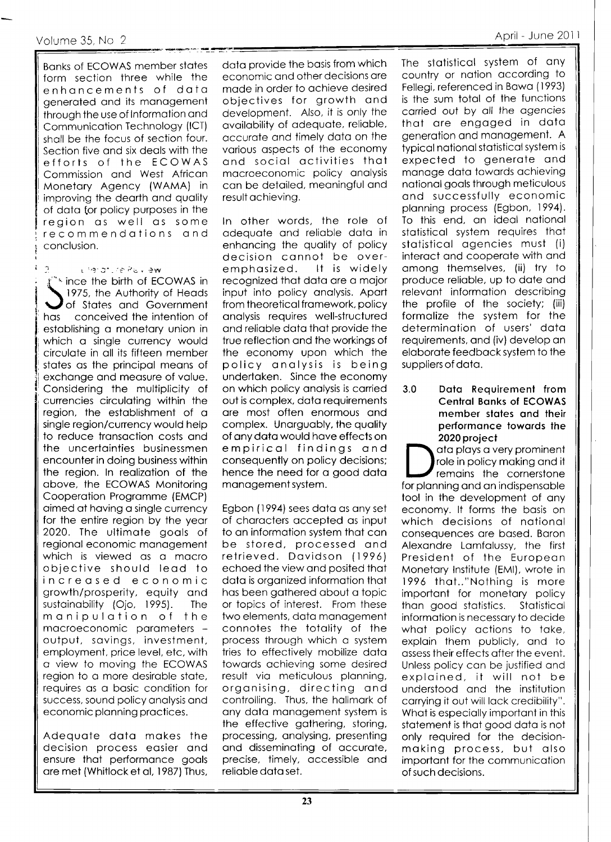#### Volume 35, No 2

**Banks of ECOWAS member states** form section three while the enhancements of data generated and its management through the use of Information and Communication Technology (ICT) shall be the focus of section four. Section five and six deals with the efforts of the ECOWAS Commission and West African Monetary Agency (WAMA) in improving the dearth and quality of data for policy purposes in the region as well as some recommendations and conclusion.

Lierat rePollew

\*\* ince the birth of ECOWAS in 1975, the Authority of Heads of States and Government has conceived the intention of establishing a monetary union in which a single currency would circulate in all its fifteen member states as the principal means of exchange and measure of value. Considering the multiplicity of currencies circulating within the region, the establishment of a single region/currency would help to reduce transaction costs and the uncertainties businessmen encounter in doing business within the region. In realization of the above, the ECOWAS Monitoring Cooperation Programme (EMCP) aimed at having a single currency for the entire region by the year 2020. The ultimate goals of regional economic management which is viewed as a macro objective should lead to increased economic growth/prosperity, equity and sustainability (Ojo, 1995). The manipulation of the macroeconomic parameters output, savings, investment, employment, price level, etc, with a view to moving the ECOWAS region to a more desirable state, requires as a basic condition for success, sound policy analysis and economic planning practices.

Adequate data makes the decision process easier and ensure that performance goals are met (Whitlock et al, 1987) Thus,

data provide the basis from which economic and other decisions are made in order to achieve desired objectives for growth and development. Also, it is only the availability of adequate, reliable, accurate and timely data on the various aspects of the economy and social activities that macroeconomic policy analysis can be detailed, meaningful and result achieving.

In other words, the role of adequate and reliable data in enhancing the quality of policy decision cannot be over-It is widely emphasized. recognized that data are a major input into policy analysis. Apart from theoretical framework, policy analysis requires well-structured and reliable data that provide the true reflection and the workings of the economy upon which the policy analysis is being undertaken. Since the economy on which policy analysis is carried out is complex, data requirements are most often enormous and complex. Unarguably, the quality of any data would have effects on empirical findings and consequently on policy decisions; hence the need for a good data management system.

Egbon (1994) sees data as any set of characters accepted as input to an information system that can be stored, processed and retrieved. Davidson (1996) echoed the view and posited that data is organized information that has been gathered about a topic or topics of interest. From these two elements, data management connotes the totality of the process through which a system tries to effectively mobilize data towards achieving some desired result via meticulous planning, organising, directing and controlling. Thus, the hallmark of any data management system is the effective gathering, storing, processing, analysing, presenting and disseminating of accurate, precise, timely, accessible and reliable data set.

The statistical system of any country or nation according to Fellegi, referenced in Bawa (1993) is the sum total of the functions carried out by all the agencies that are engaged in data generation and management. A typical national statistical system is expected to generate and manage data towards achieving national goals through meticulous and successfully economic planning process (Egbon, 1994). To this end, an ideal national statistical system requires that statistical agencies must (i) interact and cooperate with and among themselves, (ii) try to produce reliable, up to date and relevant information describing the profile of the society; (iii) formalize the system for the determination of users' data requirements, and (iv) develop an elaborate feedback system to the suppliers of data.

 $3.0$ Data Requirement from **Central Banks of ECOWAS** member states and their performance towards the 2020 project

ata plays a very prominent role in policy making and it remains the cornerstone for planning and an indispensable tool in the development of any economy. It forms the basis on which decisions of national consequences are based. Baron Alexandre Lamfalussy, the first President of the European Monetary Institute (EMI), wrote in 1996 that.."Nothing is more important for monetary policy than good statistics. Statistical information is necessary to decide what policy actions to take, explain them publicly, and to assess their effects after the event. Unless policy can be justified and explained, it will not be understood and the institution carrying it out will lack credibility". What is especially important in this statement is that good data is not only required for the decisionmaking process, but also important for the communication of such decisions.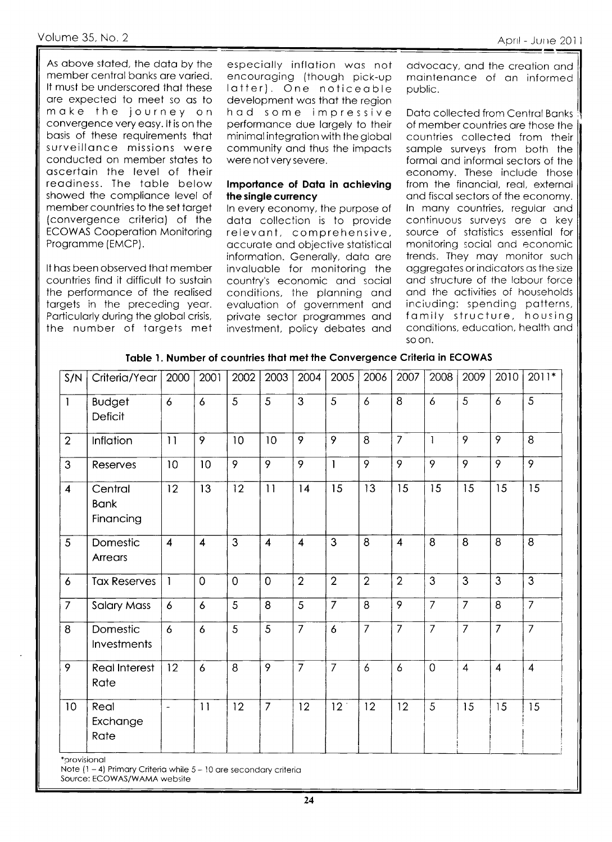As above stated, the data by the member central banks are varied. It must be underscored that these are expected to meet so as to make the journey on convergence very easy. It is on the basis of these requirements that surveillance missions were conducted on member states to ascertain the level of their readiness. The table below showed the compliance level of member countries to the set target (convergence criteria) of the **ECOWAS Cooperation Monitoring** Programme (EMCP).

It has been observed that member countries find it difficult to sustain the performance of the realised targets in the preceding year. Particularly during the global crisis, the number of targets met

especially inflation was not encouraging (though pick-up latter). One noticeable development was that the region had some impressive performance due largely to their minimal integration with the global community and thus the impacts were not very severe.

#### Importance of Data in achieving the single currency

In every economy, the purpose of data collection is to provide relevant, comprehensive, accurate and objective statistical information. Generally, data are invaluable for monitoring the country's economic and social conditions, the planning and evaluation of government and private sector programmes and investment, policy debates and

advocacy, and the creation and maintenance of an informed public.

Data collected from Central Banks of member countries are those the countries collected from their sample surveys from both the formal and informal sectors of the economy. These include those from the financial, real, external and fiscal sectors of the economy. In many countries, regular and continuous surveys are a key source of statistics essential for monitoring social and economic trends. They may monitor such aggregates or indicators as the size and structure of the labour force and the activities of households inciuding: spending patterns, family structure, housing conditions, education, health and so on.

| Table 1. Number of countries that met the Convergence Criteria in ECOWAS |  |
|--------------------------------------------------------------------------|--|
|--------------------------------------------------------------------------|--|

| S/N                     | Criteria/Year                       | 2000                     | 2001                    | 2002        | 2003           | 2004           | 2005            | 2006           | 2007           | 2008            | 2009           | 2010           | $2011*$        |
|-------------------------|-------------------------------------|--------------------------|-------------------------|-------------|----------------|----------------|-----------------|----------------|----------------|-----------------|----------------|----------------|----------------|
| $\mathbf{1}$            | <b>Budget</b><br>Deficit            | $\ddot{\circ}$           | $\delta$                | 5           | 5              | 3              | 5               | $\overline{6}$ | 8              | $\ddot{\delta}$ | 5              | $\epsilon$     | 5              |
| $\overline{2}$          | Inflation                           | 11                       | 9                       | 10          | 10             | 9              | 9               | 8              | $\overline{7}$ | $\mathbf{I}$    | 9              | 9              | 8              |
| 3                       | Reserves                            | 10                       | 10                      | 9           | 9              | 9              | $\mathbf{1}$    | 9              | $\overline{9}$ | 9               | 9              | $\overline{9}$ | $\overline{9}$ |
| $\overline{\mathbf{4}}$ | Central<br><b>Bank</b><br>Financing | 12                       | 13                      | 12          | 11             | 14             | 15              | 13             | 15             | 15              | 15             | 15             | 15             |
| 5                       | Domestic<br>Arrears                 | $\overline{4}$           | $\overline{\mathbf{4}}$ | 3           | $\overline{4}$ | $\overline{4}$ | 3               | 8              | $\overline{4}$ | 8               | 8              | 8              | 8              |
| $\boldsymbol{6}$        | <b>Tax Reserves</b>                 | $\mathbf{1}$             | $\overline{0}$          | $\mathbf 0$ | $\overline{0}$ | $\overline{2}$ | $\overline{2}$  | $\overline{2}$ | $\overline{2}$ | $\overline{3}$  | 3              | $\overline{3}$ | 3              |
| $\overline{7}$          | <b>Salary Mass</b>                  | 6                        | $\boldsymbol{6}$        | 5           | 8              | 5              | $\overline{7}$  | 8              | 9              | $\overline{7}$  | $\overline{7}$ | 8              | $\overline{7}$ |
| 8                       | Domestic<br>Investments             | 6                        | 6                       | 5           | 5              | $\overline{7}$ | 6               | $\overline{7}$ | $\overline{7}$ | $\overline{7}$  | $\overline{7}$ | $\overline{7}$ | $\overline{7}$ |
| 9                       | <b>Real Interest</b><br>Rate        | 12                       | $\overline{6}$          | 8           | $\overline{9}$ | $\overline{7}$ | $\overline{7}$  | 6              | 6              | $\mathbf 0$     | $\overline{4}$ | $\overline{4}$ | $\overline{4}$ |
| 10                      | Real<br>Exchange<br>Rate            | $\overline{\phantom{a}}$ | 11                      | 12          | $\overline{7}$ | 12             | 12 <sup>2</sup> | 12             | 12             | 5               | 15             | 15             | 15             |

\*provisional

Note  $(1 - 4)$  Primary Criteria while  $5 - 10$  are secondary criteria

Source: ECOWAS/WAMA website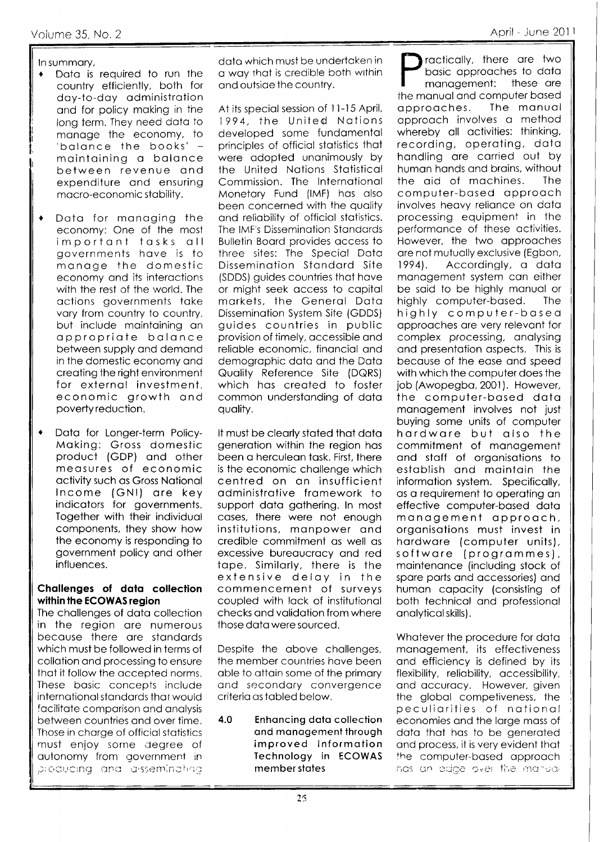#### In summary,

- Data is required to run the country efficiently, both for day-to-day administration and for policy making in the long term. They need data to manage the economy, to 'balance the books' maintaining a balance between revenue and expenditure and ensuring macro-economic stability.
- Data for managing the  $\bullet$ economy: One of the most important tasks all governments have is to manage the domestic economy and its interactions with the rest of the world. The actions governments take vary from country to country, but include maintaining an appropriate balance between supply and demand in the domestic economy and creating the right environment for external investment. economic growth and poverty reduction.
- Data for Longer-term Policy- $\blacklozenge$ Making: Gross domestic product (GDP) and other measures of economic activity such as Gross National Income (GNI) are key indicators for governments. Together with their individual components, they show how the economy is responding to government policy and other influences.

#### Challenges of data collection within the ECOWAS region

The challenges of data collection in the region are numerous because there are standards which must be followed in terms of collation and processing to ensure that it follow the accepted norms. These basic concepts include international standards that would facilitate comparison and analysis between countries and over time. Those in charge of official statistics must enjoy some degree of autonomy from government in producing and assemination

data which must be undertaken in a way that is credible both within and outside the country.

At its special session of 11-15 April, 1994, the United Nations developed some fundamental principles of official statistics that were adopted unanimously by the United Nations Statistical Commission. The International Monetary Fund (IMF) has also been concerned with the quality and reliability of official statistics. The IMF's Dissemination Standards Bulletin Board provides access to three sites: The Special Data Dissemination Standard Site (SDDS) quides countries that have or might seek access to capital markets, the General Data Dissemination System Site (GDDS) guides countries in public provision of timely, accessible and reliable economic, financial and demographic data and the Data Quality Reference Site (DQRS) which has created to foster common understanding of data quality.

It must be clearly stated that data generation within the region has been a herculean task. First, there is the economic challenge which centred on an insufficient administrative framework to support data gathering. In most cases, there were not enough institutions, manpower and credible commitment as well as excessive bureaucracy and red tape. Similarly, there is the extensive delay in the commencement of surveys coupled with lack of institutional checks and validation from where those data were sourced.

Despite the above challenges, the member countries have been able to attain some of the primary and secondary convergence criteria as tabled below.

 $4.0$ **Enhancing data collection** and management through improved Information Technology in ECOWAS member states

ractically, there are two basic approaches to data management: these are the manual and computer based approaches. The manual approach involves a method whereby all activities: thinking, recording, operating, data handling are carried out by human hands and brains, without the aid of machines. **The** computer-based approach involves heavy reliance on data processing equipment in the performance of these activities. However, the two approaches are not mutually exclusive (Egbon,  $1994$ . Accordingly, a data management system can either be said to be highly manual or The highly computer-based. highly computer-based approaches are very relevant for complex processing, analysing and presentation aspects. This is because of the ease and speed with which the computer does the job (Awopegba, 2001). However, the computer-based data management involves not just buying some units of computer hardware but also the commitment of management and staff of organisations to establish and maintain the information system. Specifically, as a requirement to operating an effective computer-based data management approach, organisations must invest in hardware (computer units), software (programmes), maintenance (including stock of spare parts and accessories) and human capacity (consisting of both technical and professional analytical skills).

Whatever the procedure for data management, its effectiveness and efficiency is defined by its flexibility, reliability, accessibility, and accuracy. However, given the global competiveness, the peculiarities of national economies and the large mass of data that has to be generated and process, it is very evident that the computer-based approach has an edge over the manual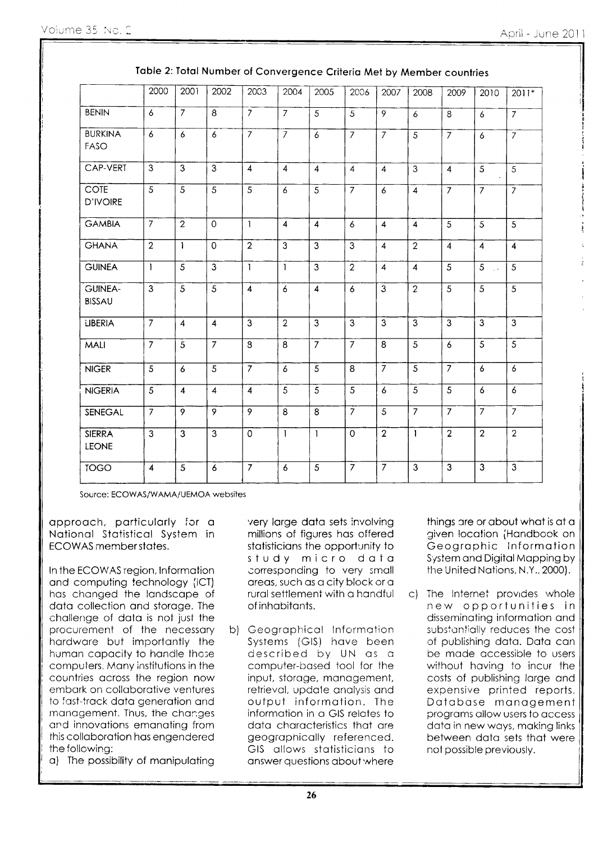|                                 | 2000                      | 2001                    | 2002           | 2003                    | 2004           | 2005           | 2006           | 2007                    | 2008           | 2009                    | 2010           | 2011*          |
|---------------------------------|---------------------------|-------------------------|----------------|-------------------------|----------------|----------------|----------------|-------------------------|----------------|-------------------------|----------------|----------------|
| <b>BENIN</b>                    | $\epsilon$                | $\overline{7}$          | 8              | $\overline{7}$          | $\overline{7}$ | $\overline{5}$ | $\overline{5}$ | $\overline{9}$          | 6              | $\overline{8}$          | 6              | $\overline{7}$ |
| <b>BURKINA</b><br>FASO          | $\epsilon$                | 6                       | 6              | $\overline{7}$          | $\overline{7}$ | $\epsilon$     | $\overline{7}$ | $\overline{7}$          | $\overline{5}$ | $\overline{7}$          | 6              | $\overline{7}$ |
| CAP-VERT                        | 3                         | 3                       | 3              | $\overline{4}$          | $\overline{4}$ | $\overline{4}$ | $\overline{4}$ | $\overline{4}$          | $\overline{3}$ | $\overline{4}$          | 5              | $\overline{5}$ |
| <b>COTE</b><br><b>D'IVOIRE</b>  | $\overline{5}$            | $\overline{5}$          | $\overline{5}$ | 5                       | 6              | $\overline{5}$ | $\overline{7}$ | 6                       | $\overline{4}$ | $\overline{7}$          | $\overline{7}$ | $\overline{7}$ |
| <b>GAMBIA</b>                   | $\overline{7}$            | $\overline{2}$          | $\Omega$       | $\mathbf{I}$            | $\overline{4}$ | $\overline{4}$ | 6              | $\overline{4}$          | $\overline{4}$ | $\overline{5}$          | 5              | 5              |
| <b>GHANA</b>                    | $\overline{2}$            | $\mathbf{I}$            | $\circ$        | $\overline{2}$          | $\overline{3}$ | 3              | $\overline{3}$ | $\overline{\mathbf{4}}$ | $\overline{2}$ | $\overline{\mathbf{A}}$ | $\overline{4}$ | $\overline{4}$ |
| <b>GUINEA</b>                   | $\mathbf{1}$              | $\overline{5}$          | $\overline{3}$ | $\mathbf{1}$            | $\mathbf{I}$   | 3              | $\overline{2}$ | $\overline{4}$          | $\overline{4}$ | $\overline{5}$          | 5              | 5              |
| <b>GUINEA-</b><br><b>BISSAU</b> | $\overline{3}$            | $\overline{5}$          | $\overline{5}$ | $\overline{4}$          | $\overline{6}$ | $\overline{4}$ | $\overline{6}$ | $\overline{3}$          | $\overline{2}$ | $\overline{5}$          | 5              | $\overline{5}$ |
| LIBERIA                         | $\overline{7}$            | $\overline{4}$          | $\overline{4}$ | 3                       | $\overline{2}$ | 3              | $\overline{3}$ | 3                       | 3              | 3                       | 3              | $\overline{3}$ |
| MALI                            | $\overline{7}$            | 5                       | $\overline{7}$ | 8                       | 8              | $\overline{7}$ | $\overline{7}$ | $\overline{8}$          | $\overline{5}$ | 6                       | $\overline{5}$ | 5              |
| <b>NIGER</b>                    | $\overline{5}$            | $\boldsymbol{6}$        | $\overline{5}$ | $\overline{7}$          | 6              | $\overline{5}$ | 8              | $\overline{7}$          | $\overline{5}$ | $\overline{7}$          | 6              | $\overline{6}$ |
| <b>NIGERIA</b>                  | $\overline{5}$            | $\overline{4}$          | $\overline{4}$ | $\overline{\mathbf{4}}$ | $\overline{5}$ | $\overline{5}$ | $\overline{5}$ | $\epsilon$              | $\overline{5}$ | $\overline{5}$          | 6              | $\overline{6}$ |
| SENEGAL                         | $\overline{\overline{7}}$ | $\overline{9}$          | $\overline{9}$ | $\overline{9}$          | $\overline{8}$ | $\overline{8}$ | $\overline{7}$ | $\overline{5}$          | $\overline{7}$ | $\overline{7}$          | 7              | $\overline{7}$ |
| <b>SIERRA</b><br>LEONE          | $\overline{\mathbf{3}}$   | $\overline{\mathbf{3}}$ | $\overline{3}$ | $\circ$                 | $\mathbf{1}$   | $\mathbf{1}$   | $\overline{O}$ | $\overline{2}$          | $\mathbf{1}$   | $\overline{2}$          | $\overline{2}$ | $\overline{2}$ |
| <b>TOGO</b>                     | $\overline{4}$            | $\overline{5}$          | 6              | $\overline{7}$          | 6              | $\overline{5}$ | $\overline{7}$ | $\overline{7}$          | $\overline{3}$ | $\overline{3}$          | $\overline{3}$ | $\overline{3}$ |

Source: ECOWAS/WAMA/UEMOA websites

approach, particularly for a National Statistical System in ECOWAS member states.

In the ECOWAS region, Information and computing technology (ICT) has changed the landscape of data collection and storage. The challenge of data is not just the procurement of the necessary hardware but importantly the human capacity to handle those computers. Many institutions in the countries across the region now embark on collaborative ventures to fast-track data generation and management. Thus, the changes and innovations emanating from this collaboration has engendered the following:

a) The possibility of manipulating

very large data sets involving millions of figures has offered statisticians the opportunity to study micro data corresponding to very small areas, such as a city block or a rural settlement with a handful of inhabitants.

b) Geographical Information Systems (GIS) have been described by UN as a computer-based tool for the input, storage, management, retrieval, update analysis and output information. The information in a GIS relates to data characteristics that are geographically referenced. GIS allows statisticians to answer questions about where

things are or about what is at a given location (Handbook on Geographic Information System and Digital Mapping by the United Nations, N.Y., 2000).

c) The Internet provides whole new opportunities in disseminating information and substantially reduces the cost of publishing data. Data can be made accessible to users without having to incur the costs of publishing large and expensive printed reports. Database management programs allow users to access data in new ways, making links between data sets that were not possible previously.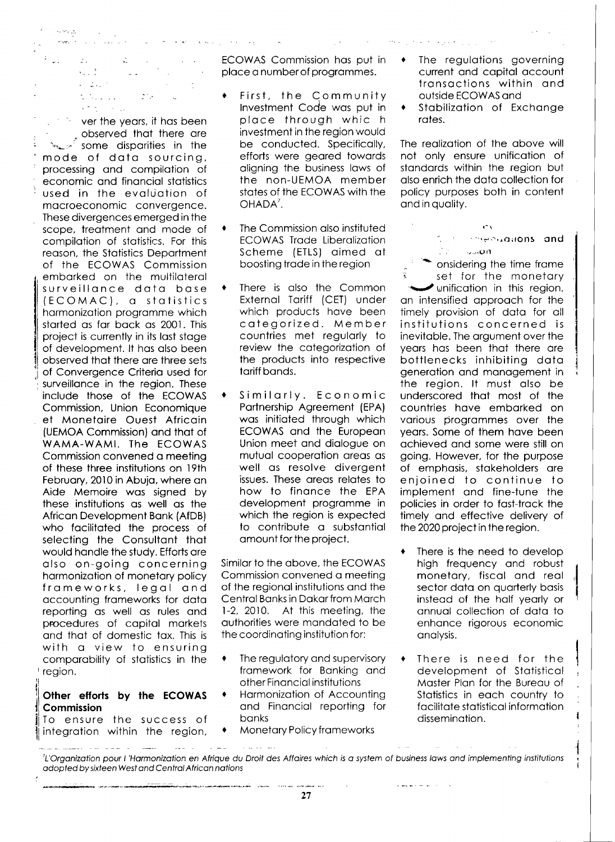$\sim 40$  km s  $^{-1}$  $\mathbb{Z}$  .  $\lambda_{\rm max}^{-1/2}$  $\sim$   $\sim$  $\epsilon = 2\pi \sqrt{\pi}$  $\mathcal{L}(\mathcal{M},\mathcal{L},\mathcal{L})$  .  $\mathcal{L}^{\mathcal{L}}(\mathcal{L}^{\mathcal{L}})$  . The  $\mathcal{L}^{\mathcal{L}}(\mathcal{L}^{\mathcal{L}})$  $\epsilon \uparrow \gamma$  ,  $\gamma$  ,

لي و مون<br>مون

 $\sim$  ver the years, it has been observed that there are  $\sim$   $\sim$  some disparities in the mode of data sourcing, processing and compilation of economic and financial statistics used in the evaluation of macroeconomic convergence. These divergences emerged in the scope, treatment and mode of compilation of statistics. For this reason, the Statistics Department of the ECOWAS Commission embarked on the multilateral surveillance data base (ECOMAC), a statistics harmonization programme which started as far back as 2001. This project is currently in its last stage of development. It has also been observed that there are three sets of Convergence Criteria used for surveillance in the region. These include those of the ECOWAS Commission, Union Economique et Monetaire Ouest Africain (UEMOA Commission) and that of WAMA-WAMI. The ECOWAS Commission convened a meeting of these three institutions on 19th February, 2010 in Abuja, where an Aide Memoire was signed by these institutions as well as the African Development Bank (AfDB) who facilitated the process of selecting the Consultant that would handle the study. Efforts are also on-going concerning harmonization of monetary policy frameworks, legal and accounting frameworks for data reporting as well as rules and procedures of capital markets and that of domestic tax. This is with a view to ensuring comparability of statistics in the region.

#### Other efforts by the ECOWAS Commission

To ensure the success of integration within the region,

 $\frac{1}{2}$ 

المستناب المتار

ECOWAS Commission has put in place a number of programmes.

 $\mathcal{A}$  , we have  $\mathcal{A}^{\mathcal{A}}_{\mathcal{A}}$  , where  $\mathcal{A}^{\mathcal{A}}_{\mathcal{A}}$ 

- First, the Community Investment Code was put in place through whic h investment in the region would be conducted. Specifically, efforts were geared towards aligning the business laws of the non-UEMOA member states of the ECOWAS with the OHADA<sup>7</sup>.
- The Commission also instituted **ECOWAS Trade Liberalization** Scheme (ETLS) aimed at boosting trade in the region
- There is also the Common ٠ External Tariff (CET) under which products have been categorized. Member countries met regularly to review the categorization of the products into respective tariff bands.
- Similarly. Economic Partnership Agreement (EPA) was initiated through which ECOWAS and the European Union meet and dialogue on mutual cooperation areas as well as resolve divergent issues. These areas relates to how to finance the EPA development programme in which the region is expected to contribute a substantial amount for the project.

Similar to the above, the ECOWAS Commission convened a meeting of the regional institutions and the Central Banks in Dakar from March 1-2, 2010. At this meeting, the authorities were mandated to be the coordinating institution for:

- The regulatory and supervisory  $\ddot{\bullet}$ framework for Banking and other Financial institutions
- Harmonization of Accounting and Financial reporting for **banks**
- Monetary Policy frameworks  $\blacklozenge$

الأساء الكاريدان

 $\omega_{\rm{max}}$ 

 $\bullet$ The regulations governing current and capital account transactions within and outside ECOWAS and

 $\label{eq:2} \mathcal{D}^2\mathcal{L}^2=\left[\begin{array}{cc} \mathcal{L}^2 & \mathcal{L}^2 & \mathcal{L}^2 & \mathcal{L}^2 & \mathcal{L}^2 & \mathcal{L}^2 & \mathcal{L}^2 & \mathcal{L}^2 \\ \mathcal{L}^2 & \mathcal{L}^2 & \mathcal{L}^2 & \mathcal{L}^2 & \mathcal{L}^2 & \mathcal{L}^2 & \mathcal{L}^2 \end{array} \right] \ ,$ 

Stabilization of Exchange  $\blacklozenge$ rates.

The realization of the above will not only ensure unification of standards within the region but also enrich the data collection for policy purposes both in content and in quality.

 $\mathcal{C}$  v Confirmentiations and  $\mathbb{R}^2 = 4500$ 

onsidering the time frame set for the monetary unification in this region, an intensified approach for the timely provision of data for all institutions concerned is inevitable. The argument over the years has been that there are bottlenecks inhibiting data generation and management in the region. It must also be underscored that most of the countries have embarked on various programmes over the years. Some of them have been achieved and some were still on going. However, for the purpose of emphasis, stakeholders are enjoined to continue to implement and fine-tune the policies in order to fast-track the timely and effective delivery of the 2020 project in the region.

- There is the need to develop high frequency and robust monetary, fiscal and real sector data on quarterly basis instead of the half yearly or annual collection of data to enhance rigorous economic analysis.
- There is need for the  $\bullet$ development of Statistical Master Plan for the Bureau of Statistics in each country to facilitate statistical information dissemination.

 $\hat{\varphi}$ 

*Changer Middle* 

 $\sim$ 

 $\mathcal{L}^{\text{max}}$  ,  $\mathcal{L}^{\text{max}}$ 

ł

 $\bar{1},\bar{1},\bar{1},\bar{1}$ L'Organization pour l'Harmonization en Afrique du Droit des Affaires which is a system of business laws and implementing institutions adopted by sixteen West and Central African nations

> ים בין הייתה לאומי לאומי בין הייתה בין הייתה אין בין הייתה אמות לאומי האמור או לדיקות. באומי לאומי המוסיקה במו<br>אין הייתה לאומי לאומי לאומי בין הייתה לאומי לאומי לאומי לאומי לאומי לאומי לאומי לאומי לאומי לאומי לאומי לאומי 27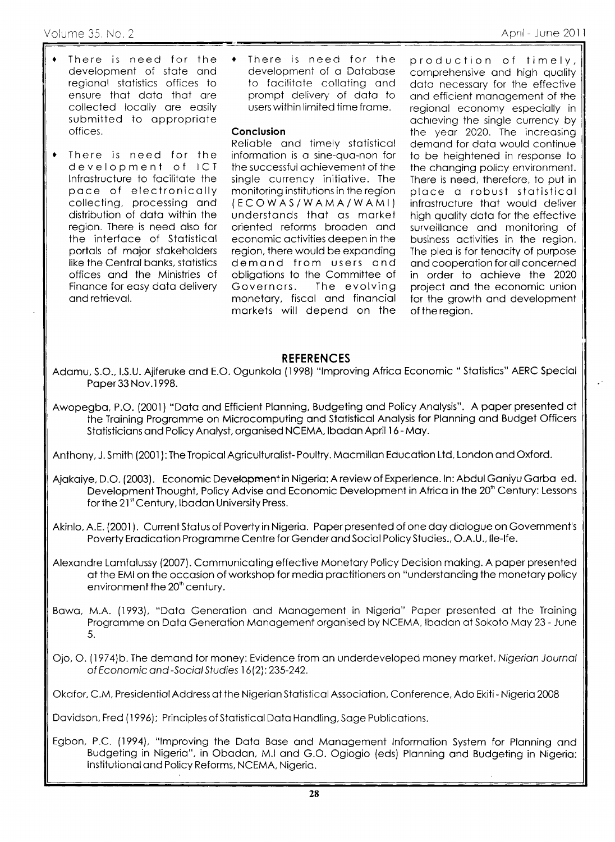- There is need for the development of stote ond regionol stotistics offices to ensure thot doto thot ore collected locolly ore eosily submitted to appropriate offices.
- There is need for the development of ICT lnfrostructure to focilitote the poce of electronicolly collecting, processing and distribution of doto within the region. There is need olso for the interfoce of Stotisticol portols of mojor stokeholders like the Central banks, statistics offices ond the Ministries of Finonce for eosy doto delivery ond retrievol. t
- There is need for the development of a Database to facilitate collating and prompt delivery of doto to users within limited time frome.  $\bullet$

#### Conclusion

Relioble ond timely stotisticol informotion is o sine-quo-non for the successful ochievemeni of the single currency initiative. The monitoring institutions in the region  $(ECOWAS/WAM A/WAMI)$ understonds thot os morket oriented reforms brooden ond economic octivities deepen in the region, there would be exponding demond from users ond obligotions to the Committee of Governors. The evolving monetory, fiscol ond finonciol morkets will depend on the production of timely, comprehensive and high quality data necessary for the effective and efficient management of the regional economy especially in ochreving the single currency by the year 2020. The increasing demand for data would continue to be heightened in response to the changing policy environment. There is need, therefore, to put in ploce o robust stotisticol infrostructure thot would deliver high quality data for the effective surveillance and monitoring of business octivities in the region. The plea is for tenacity of purpose ond cooperotion for oll concerned in order to ochieve the <sup>2020</sup> project ond the economic union for the growth ond development of the region.

### REFERENCES

- Adomu, S.O., l.S.U. Ajiferuke ond E.O. Ogunkolo (l 998) "lmproving Africo Economic " Stofistics" AERC Speciol Poper33 Nov.l 998.
- Awopegba, P.O. (2001) "Data and Efficient Planning, Budgeting and Policy Analysis". A paper presented at the Troining Progromme on Microcomputing ond Stotisticol Anolysis for Plonning ond Budget Officers Statisticians and Policy Analyst, organised NCEMA, Ibadan April 16 - May.

Anthony, J. Smith (2001): The Tropical Agriculturalist-Poultry. Macmillan Education Ltd, London and Oxford.

- Ajakaiye, D.O. (2003). Economic Development in Nigeria: A review of Experience. In: Abdul Ganiyu Garba ed. Development Thought, Policy Advise and Economic Development in Africa in the 20<sup>th</sup> Century: Lessons for the 21<sup>st</sup> Century, Ibadan University Press.
- Akinlo, A.E. (2001). Current Status of Poverty in Nigeria. Paper presented of one day dialogue on Government's Poverty Eradication Programme Centre for Gender and Social Policy Studies., O.A.U., Ile-Ife.
- Alexondre Lomfolussy (2007). Communicoting effective Monetory Policy Decision moking. A poper presented of the EMI on the occosion of workshop for medio proctitioners on "understonding the monetory policy environment the 20<sup>th</sup> century.
- Bawa, M.A. (1993), "Data Generation and Management in Nigeria" Paper presented at the Training Programme on Data Generation Management organised by NCEMA, Ibadan at Sokoto May 23 - June 5.
- Ojo, O. (1974)b. The demond for money: Evidence from on underdeveloped money morket. Nigerion Journol of Economic and -Social Studies 16(2): 235-242.

Okafor, C.M, Presidential Address at the Nigerian Statistical Association, Conference, Ado Ekiti- Nigeria 2008

Dovidson, Fred (1996); Principles of Stotisticol Doto Hondling, Soge Publicotions.

Egbon, P.C. (1994), "Improving the Data Base and Management Information System for Planning and Budgeting in Nigeria", in Obadan, M.I and G.O. Ogiogio (eds) Planning and Budgeting in Nigeria: lnstitutionol ond Policy Reforms, NCEMA, Nigerio.